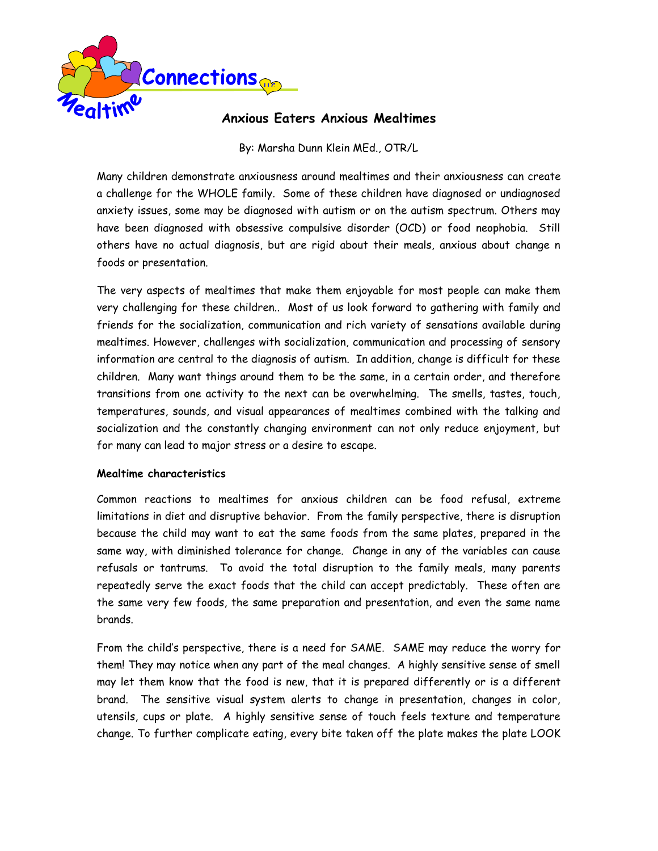

# **Anxious Eaters Anxious Mealtimes**

# By: Marsha Dunn Klein MEd., OTR/L

Many children demonstrate anxiousness around mealtimes and their anxiousness can create a challenge for the WHOLE family. Some of these children have diagnosed or undiagnosed anxiety issues, some may be diagnosed with autism or on the autism spectrum. Others may have been diagnosed with obsessive compulsive disorder (OCD) or food neophobia. Still others have no actual diagnosis, but are rigid about their meals, anxious about change n foods or presentation.

The very aspects of mealtimes that make them enjoyable for most people can make them very challenging for these children.. Most of us look forward to gathering with family and friends for the socialization, communication and rich variety of sensations available during mealtimes. However, challenges with socialization, communication and processing of sensory information are central to the diagnosis of autism. In addition, change is difficult for these children. Many want things around them to be the same, in a certain order, and therefore transitions from one activity to the next can be overwhelming. The smells, tastes, touch, temperatures, sounds, and visual appearances of mealtimes combined with the talking and socialization and the constantly changing environment can not only reduce enjoyment, but for many can lead to major stress or a desire to escape.

### **Mealtime characteristics**

Common reactions to mealtimes for anxious children can be food refusal, extreme limitations in diet and disruptive behavior. From the family perspective, there is disruption because the child may want to eat the same foods from the same plates, prepared in the same way, with diminished tolerance for change. Change in any of the variables can cause refusals or tantrums. To avoid the total disruption to the family meals, many parents repeatedly serve the exact foods that the child can accept predictably. These often are the same very few foods, the same preparation and presentation, and even the same name brands.

From the child's perspective, there is a need for SAME. SAME may reduce the worry for them! They may notice when any part of the meal changes. A highly sensitive sense of smell may let them know that the food is new, that it is prepared differently or is a different brand. The sensitive visual system alerts to change in presentation, changes in color, utensils, cups or plate. A highly sensitive sense of touch feels texture and temperature change. To further complicate eating, every bite taken off the plate makes the plate LOOK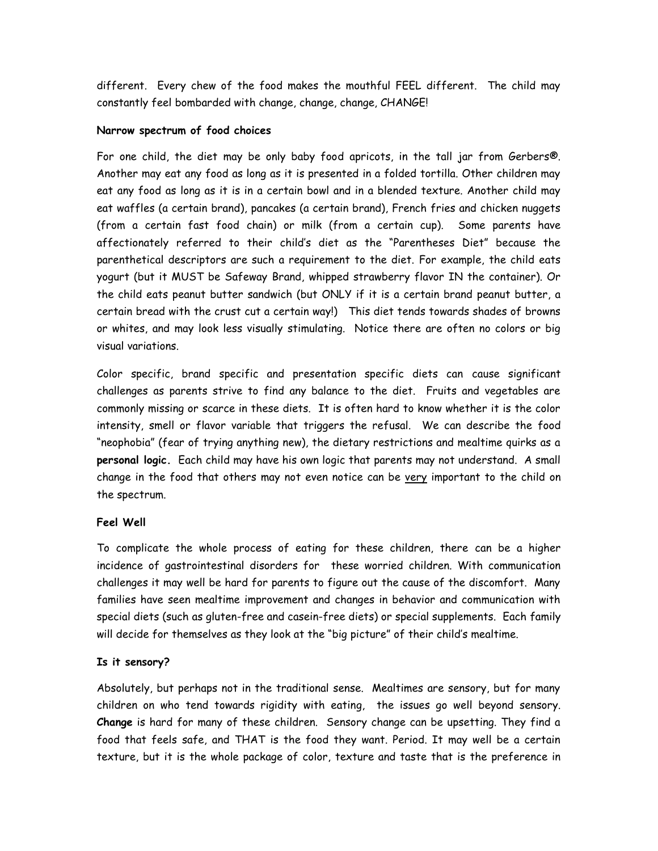different. Every chew of the food makes the mouthful FEEL different. The child may constantly feel bombarded with change, change, change, CHANGE!

## **Narrow spectrum of food choices**

For one child, the diet may be only baby food apricots, in the tall jar from Gerbers®. Another may eat any food as long as it is presented in a folded tortilla. Other children may eat any food as long as it is in a certain bowl and in a blended texture. Another child may eat waffles (a certain brand), pancakes (a certain brand), French fries and chicken nuggets (from a certain fast food chain) or milk (from a certain cup). Some parents have affectionately referred to their child's diet as the "Parentheses Diet" because the parenthetical descriptors are such a requirement to the diet. For example, the child eats yogurt (but it MUST be Safeway Brand, whipped strawberry flavor IN the container). Or the child eats peanut butter sandwich (but ONLY if it is a certain brand peanut butter, a certain bread with the crust cut a certain way!) This diet tends towards shades of browns or whites, and may look less visually stimulating. Notice there are often no colors or big visual variations.

Color specific, brand specific and presentation specific diets can cause significant challenges as parents strive to find any balance to the diet. Fruits and vegetables are commonly missing or scarce in these diets. It is often hard to know whether it is the color intensity, smell or flavor variable that triggers the refusal. We can describe the food "neophobia" (fear of trying anything new), the dietary restrictions and mealtime quirks as a **personal logic.** Each child may have his own logic that parents may not understand. A small change in the food that others may not even notice can be very important to the child on the spectrum.

# **Feel Well**

To complicate the whole process of eating for these children, there can be a higher incidence of gastrointestinal disorders for these worried children. With communication challenges it may well be hard for parents to figure out the cause of the discomfort. Many families have seen mealtime improvement and changes in behavior and communication with special diets (such as gluten-free and casein-free diets) or special supplements. Each family will decide for themselves as they look at the "big picture" of their child's mealtime.

### **Is it sensory?**

Absolutely, but perhaps not in the traditional sense. Mealtimes are sensory, but for many children on who tend towards rigidity with eating, the issues go well beyond sensory. **Change** is hard for many of these children. Sensory change can be upsetting. They find a food that feels safe, and THAT is the food they want. Period. It may well be a certain texture, but it is the whole package of color, texture and taste that is the preference in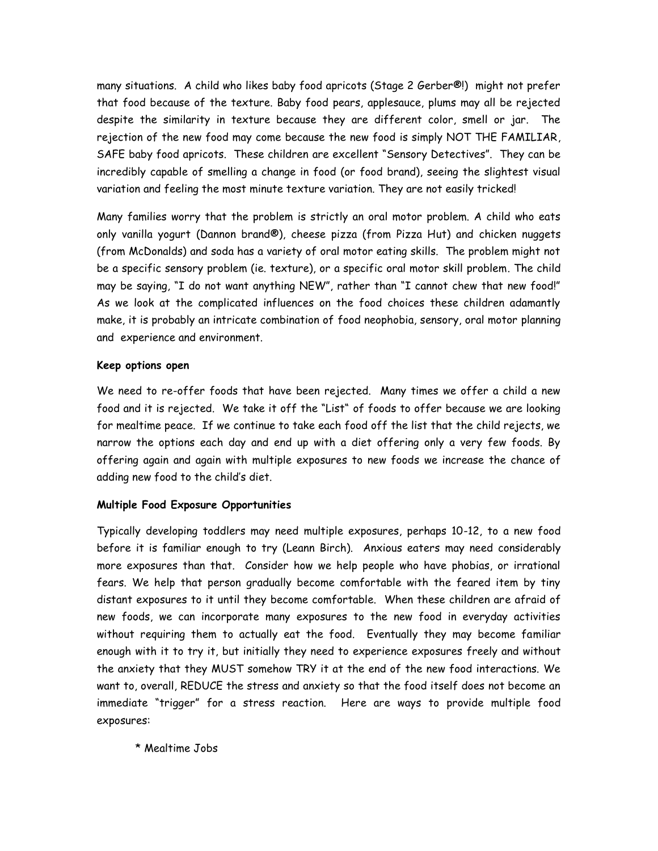many situations. A child who likes baby food apricots (Stage 2 Gerber®!) might not prefer that food because of the texture. Baby food pears, applesauce, plums may all be rejected despite the similarity in texture because they are different color, smell or jar. The rejection of the new food may come because the new food is simply NOT THE FAMILIAR, SAFE baby food apricots. These children are excellent "Sensory Detectives". They can be incredibly capable of smelling a change in food (or food brand), seeing the slightest visual variation and feeling the most minute texture variation. They are not easily tricked!

Many families worry that the problem is strictly an oral motor problem. A child who eats only vanilla yogurt (Dannon brand®), cheese pizza (from Pizza Hut) and chicken nuggets (from McDonalds) and soda has a variety of oral motor eating skills. The problem might not be a specific sensory problem (ie. texture), or a specific oral motor skill problem. The child may be saying, "I do not want anything NEW", rather than "I cannot chew that new food!" As we look at the complicated influences on the food choices these children adamantly make, it is probably an intricate combination of food neophobia, sensory, oral motor planning and experience and environment.

### **Keep options open**

We need to re-offer foods that have been rejected. Many times we offer a child a new food and it is rejected. We take it off the "List" of foods to offer because we are looking for mealtime peace. If we continue to take each food off the list that the child rejects, we narrow the options each day and end up with a diet offering only a very few foods. By offering again and again with multiple exposures to new foods we increase the chance of adding new food to the child's diet.

# **Multiple Food Exposure Opportunities**

Typically developing toddlers may need multiple exposures, perhaps 10-12, to a new food before it is familiar enough to try (Leann Birch). Anxious eaters may need considerably more exposures than that. Consider how we help people who have phobias, or irrational fears. We help that person gradually become comfortable with the feared item by tiny distant exposures to it until they become comfortable. When these children are afraid of new foods, we can incorporate many exposures to the new food in everyday activities without requiring them to actually eat the food. Eventually they may become familiar enough with it to try it, but initially they need to experience exposures freely and without the anxiety that they MUST somehow TRY it at the end of the new food interactions. We want to, overall, REDUCE the stress and anxiety so that the food itself does not become an immediate "trigger" for a stress reaction. Here are ways to provide multiple food exposures:

\* Mealtime Jobs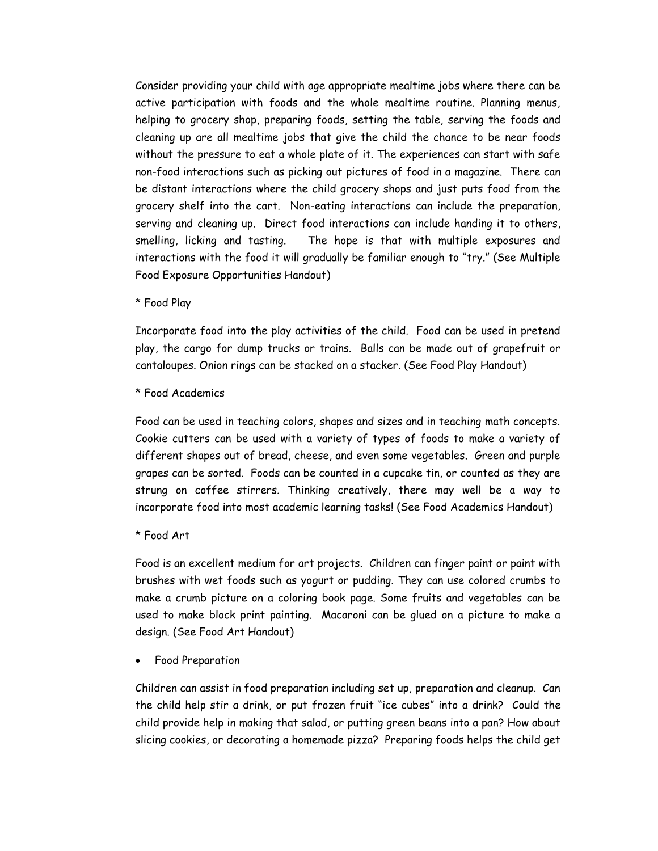Consider providing your child with age appropriate mealtime jobs where there can be active participation with foods and the whole mealtime routine. Planning menus, helping to grocery shop, preparing foods, setting the table, serving the foods and cleaning up are all mealtime jobs that give the child the chance to be near foods without the pressure to eat a whole plate of it. The experiences can start with safe non-food interactions such as picking out pictures of food in a magazine. There can be distant interactions where the child grocery shops and just puts food from the grocery shelf into the cart. Non-eating interactions can include the preparation, serving and cleaning up. Direct food interactions can include handing it to others, smelling, licking and tasting. The hope is that with multiple exposures and interactions with the food it will gradually be familiar enough to "try." (See Multiple Food Exposure Opportunities Handout)

\* Food Play

Incorporate food into the play activities of the child. Food can be used in pretend play, the cargo for dump trucks or trains. Balls can be made out of grapefruit or cantaloupes. Onion rings can be stacked on a stacker. (See Food Play Handout)

\* Food Academics

Food can be used in teaching colors, shapes and sizes and in teaching math concepts. Cookie cutters can be used with a variety of types of foods to make a variety of different shapes out of bread, cheese, and even some vegetables. Green and purple grapes can be sorted. Foods can be counted in a cupcake tin, or counted as they are strung on coffee stirrers. Thinking creatively, there may well be a way to incorporate food into most academic learning tasks! (See Food Academics Handout)

\* Food Art

Food is an excellent medium for art projects. Children can finger paint or paint with brushes with wet foods such as yogurt or pudding. They can use colored crumbs to make a crumb picture on a coloring book page. Some fruits and vegetables can be used to make block print painting. Macaroni can be glued on a picture to make a design. (See Food Art Handout)

Food Preparation

Children can assist in food preparation including set up, preparation and cleanup. Can the child help stir a drink, or put frozen fruit "ice cubes" into a drink? Could the child provide help in making that salad, or putting green beans into a pan? How about slicing cookies, or decorating a homemade pizza? Preparing foods helps the child get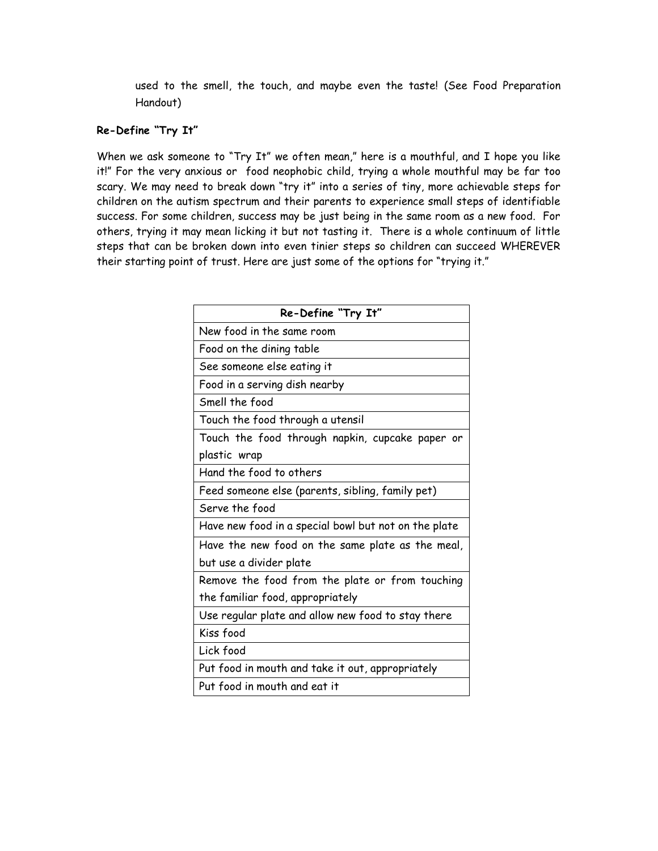used to the smell, the touch, and maybe even the taste! (See Food Preparation Handout)

# **Re-Define "Try It"**

When we ask someone to "Try It" we often mean," here is a mouthful, and I hope you like it!" For the very anxious or food neophobic child, trying a whole mouthful may be far too scary. We may need to break down "try it" into a series of tiny, more achievable steps for children on the autism spectrum and their parents to experience small steps of identifiable success. For some children, success may be just being in the same room as a new food. For others, trying it may mean licking it but not tasting it. There is a whole continuum of little steps that can be broken down into even tinier steps so children can succeed WHEREVER their starting point of trust. Here are just some of the options for "trying it."

| Re-Define "Try It"                                   |
|------------------------------------------------------|
| New food in the same room                            |
| Food on the dining table                             |
| See someone else eating it                           |
| Food in a serving dish nearby                        |
| Smell the food                                       |
| Touch the food through a utensil                     |
| Touch the food through napkin, cupcake paper or      |
| plastic wrap                                         |
| Hand the food to others                              |
| Feed someone else (parents, sibling, family pet)     |
| Serve the food                                       |
| Have new food in a special bowl but not on the plate |
| Have the new food on the same plate as the meal,     |
| but use a divider plate                              |
| Remove the food from the plate or from touching      |
| the familiar food, appropriately                     |
| Use regular plate and allow new food to stay there   |
| Kiss food                                            |
| Lick food                                            |
| Put food in mouth and take it out, appropriately     |
| Put food in mouth and eat it                         |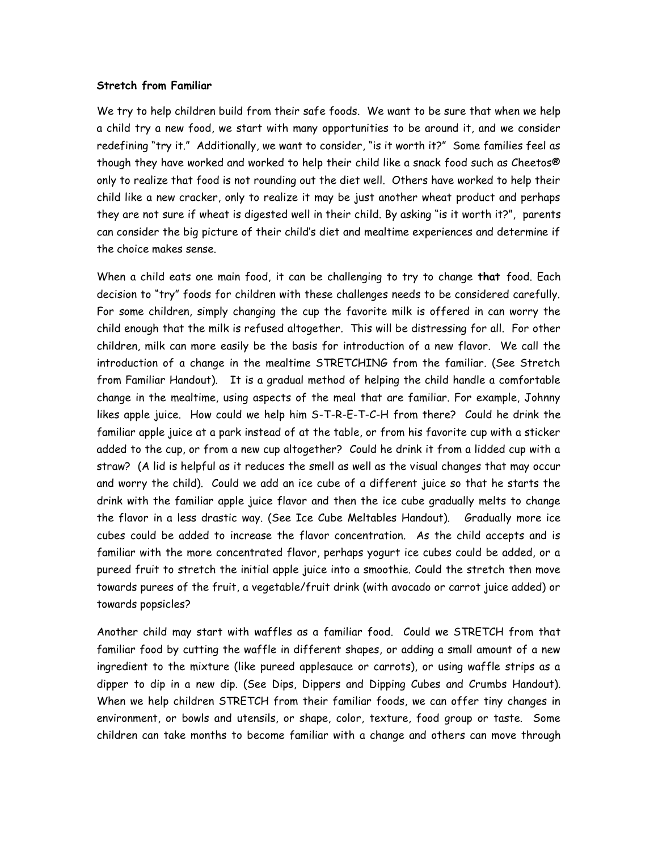#### **Stretch from Familiar**

We try to help children build from their safe foods. We want to be sure that when we help a child try a new food, we start with many opportunities to be around it, and we consider redefining "try it." Additionally, we want to consider, "is it worth it?" Some families feel as though they have worked and worked to help their child like a snack food such as Cheetos® only to realize that food is not rounding out the diet well. Others have worked to help their child like a new cracker, only to realize it may be just another wheat product and perhaps they are not sure if wheat is digested well in their child. By asking "is it worth it?", parents can consider the big picture of their child's diet and mealtime experiences and determine if the choice makes sense.

When a child eats one main food, it can be challenging to try to change **that** food. Each decision to "try" foods for children with these challenges needs to be considered carefully. For some children, simply changing the cup the favorite milk is offered in can worry the child enough that the milk is refused altogether. This will be distressing for all. For other children, milk can more easily be the basis for introduction of a new flavor. We call the introduction of a change in the mealtime STRETCHING from the familiar. (See Stretch from Familiar Handout). It is a gradual method of helping the child handle a comfortable change in the mealtime, using aspects of the meal that are familiar. For example, Johnny likes apple juice. How could we help him S-T-R-E-T-C-H from there? Could he drink the familiar apple juice at a park instead of at the table, or from his favorite cup with a sticker added to the cup, or from a new cup altogether? Could he drink it from a lidded cup with a straw? (A lid is helpful as it reduces the smell as well as the visual changes that may occur and worry the child). Could we add an ice cube of a different juice so that he starts the drink with the familiar apple juice flavor and then the ice cube gradually melts to change the flavor in a less drastic way. (See Ice Cube Meltables Handout). Gradually more ice cubes could be added to increase the flavor concentration. As the child accepts and is familiar with the more concentrated flavor, perhaps yogurt ice cubes could be added, or a pureed fruit to stretch the initial apple juice into a smoothie. Could the stretch then move towards purees of the fruit, a vegetable/fruit drink (with avocado or carrot juice added) or towards popsicles?

Another child may start with waffles as a familiar food. Could we STRETCH from that familiar food by cutting the waffle in different shapes, or adding a small amount of a new ingredient to the mixture (like pureed applesauce or carrots), or using waffle strips as a dipper to dip in a new dip. (See Dips, Dippers and Dipping Cubes and Crumbs Handout). When we help children STRETCH from their familiar foods, we can offer tiny changes in environment, or bowls and utensils, or shape, color, texture, food group or taste. Some children can take months to become familiar with a change and others can move through